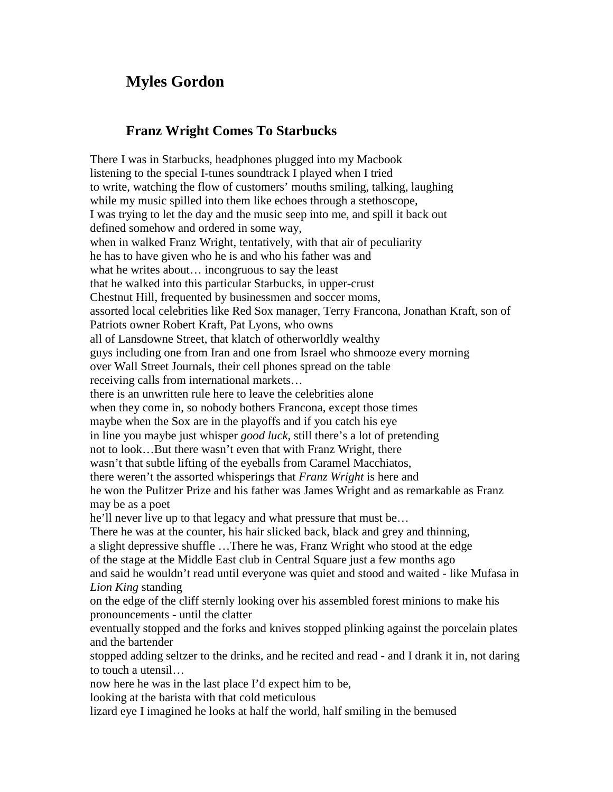## **Myles Gordon**

## **Franz Wright Comes To Starbucks**

There I was in Starbucks, headphones plugged into my Macbook listening to the special I-tunes soundtrack I played when I tried to write, watching the flow of customers' mouths smiling, talking, laughing while my music spilled into them like echoes through a stethoscope, I was trying to let the day and the music seep into me, and spill it back out defined somehow and ordered in some way, when in walked Franz Wright, tentatively, with that air of peculiarity he has to have given who he is and who his father was and what he writes about… incongruous to say the least that he walked into this particular Starbucks, in upper-crust Chestnut Hill, frequented by businessmen and soccer moms, assorted local celebrities like Red Sox manager, Terry Francona, Jonathan Kraft, son of Patriots owner Robert Kraft, Pat Lyons, who owns all of Lansdowne Street, that klatch of otherworldly wealthy guys including one from Iran and one from Israel who shmooze every morning over Wall Street Journals, their cell phones spread on the table receiving calls from international markets… there is an unwritten rule here to leave the celebrities alone when they come in, so nobody bothers Francona, except those times maybe when the Sox are in the playoffs and if you catch his eye in line you maybe just whisper *good luck*, still there's a lot of pretending not to look…But there wasn't even that with Franz Wright, there wasn't that subtle lifting of the eyeballs from Caramel Macchiatos, there weren't the assorted whisperings that *Franz Wright* is here and he won the Pulitzer Prize and his father was James Wright and as remarkable as Franz may be as a poet he'll never live up to that legacy and what pressure that must be… There he was at the counter, his hair slicked back, black and grey and thinning, a slight depressive shuffle …There he was, Franz Wright who stood at the edge of the stage at the Middle East club in Central Square just a few months ago and said he wouldn't read until everyone was quiet and stood and waited - like Mufasa in *Lion King* standing on the edge of the cliff sternly looking over his assembled forest minions to make his pronouncements - until the clatter eventually stopped and the forks and knives stopped plinking against the porcelain plates and the bartender stopped adding seltzer to the drinks, and he recited and read - and I drank it in, not daring to touch a utensil… now here he was in the last place I'd expect him to be, looking at the barista with that cold meticulous lizard eye I imagined he looks at half the world, half smiling in the bemused